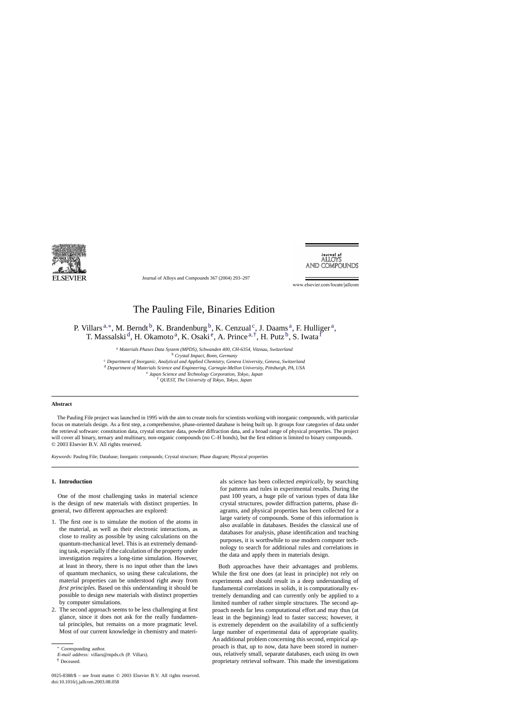

Journal of Alloys and Compounds 367 (2004) 293–297

Journal of<br>ALLOYS **AND COMPOUNDS** 

www.elsevier.com/locate/jallcom

# The Pauling File, Binaries Edition

P. Villars<sup>a,∗</sup>, M. Berndt<sup>b</sup>, K. Brandenburg<sup>b</sup>, K. Cenzual<sup>c</sup>, J. Daams<sup>a</sup>, F. Hulliger<sup>a</sup>, T. Massalski<sup>d</sup>, H. Okamoto<sup>a</sup>, K. Osaki<sup>e</sup>, A. Prince<sup>a,†</sup>, H. Putz<sup>b</sup>, S. Iwata<sup>f</sup>

<sup>a</sup> *Materials Phases Data System (MPDS), Schwanden 400, CH-6354, Vitznau, Switzerland*

<sup>b</sup> *Crystal Impact, Bonn, Germany*

<sup>c</sup> *Department of Inorganic, Analytical and Applied Chemistry, Geneva University, Geneva, Switzerland*

<sup>d</sup> *Department of Materials Science and Engineering, Carnegie-Mellon University, Pittsburgh, PA, USA*

<sup>e</sup> *Japan Science and Technology Corporation, Tokyo, Japan*

<sup>f</sup> *QUEST, The University of Tokyo, Tokyo, Japan*

#### **Abstract**

The Pauling File project was launched in 1995 with the aim to create tools for scientists working with inorganic compounds, with particular focus on materials design. As a first step, a comprehensive, phase-oriented database is being built up. It groups four categories of data under the retrieval software: constitution data, crystal structure data, powder diffraction data, and a broad range of physical properties. The project will cover all binary, ternary and multinary, non-organic compounds (no C–H bonds), but the first edition is limited to binary compounds. © 2003 Elsevier B.V. All rights reserved.

*Keywords:* Pauling File; Database; Inorganic compounds; Crystal structure; Phase diagram; Physical properties

# **1. Introduction**

One of the most challenging tasks in material science is the design of new materials with distinct properties. In general, two different approaches are explored:

- 1. The first one is to simulate the motion of the atoms in the material, as well as their electronic interactions, as close to reality as possible by using calculations on the quantum-mechanical level. This is an extremely demanding task, especially if the calculation of the property under investigation requires a long-time simulation. However, at least in theory, there is no input other than the laws of quantum mechanics, so using these calculations, the material properties can be understood right away from *first principle*s. Based on this understanding it should be possible to design new materials with distinct properties by computer simulations.
- 2. The second approach seems to be less challenging at first glance, since it does not ask for the really fundamental principles, but remains on a more pragmatic level. Most of our current knowledge in chemistry and materi-

∗ Corresponding author.

*E-mail address:* villars@mpds.ch (P. Villars).

als science has been collected *empirically*, by searching for patterns and rules in experimental results. During the past 100 years, a huge pile of various types of data like crystal structures, powder diffraction patterns, phase diagrams, and physical properties has been collected for a large variety of compounds. Some of this information is also available in databases. Besides the classical use of databases for analysis, phase identification and teaching purposes, it is worthwhile to use modern computer technology to search for additional rules and correlations in the data and apply them in materials design.

Both approaches have their advantages and problems. While the first one does (at least in principle) not rely on experiments and should result in a deep understanding of fundamental correlations in solids, it is computationally extremely demanding and can currently only be applied to a limited number of rather simple structures. The second approach needs far less computational effort and may thus (at least in the beginning) lead to faster success; however, it is extremely dependent on the availability of a sufficiently large number of experimental data of appropriate quality. An additional problem concerning this second, empirical approach is that, up to now, data have been stored in numerous, relatively small, separate databases, each using its own proprietary retrieval software. This made the investigations

<sup>†</sup> Deceased.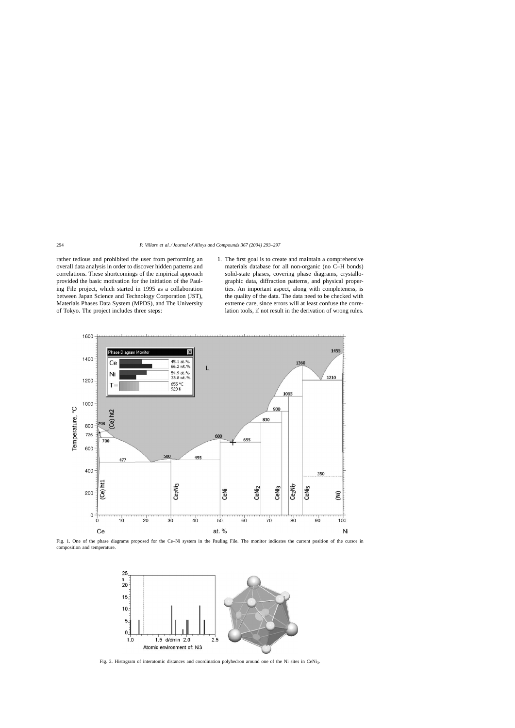<span id="page-1-0"></span>rather tedious and prohibited the user from performing an overall data analysis in order to discover hidden patterns and correlations. These shortcomings of the empirical approach provided the basic motivation for the initiation of the Pauling File project, which started in 1995 as a collaboration between Japan Science and Technology Corporation (JST), Materials Phases Data System (MPDS), and The University of Tokyo. The project includes three steps:

1. The first goal is to create and maintain a comprehensive materials database for all non-organic (no C–H bonds) solid-state phases, covering phase diagrams, crystallographic data, diffraction patterns, and physical properties. An important aspect, along with completeness, is the quality of the data. The data need to be checked with extreme care, since errors will at least confuse the correlation tools, if not result in the derivation of wrong rules.



Fig. 1. One of the phase diagrams proposed for the Ce–Ni system in the Pauling File. The monitor indicates the current position of the cursor in composition and temperature.



Fig. 2. Histogram of interatomic distances and coordination polyhedron around one of the Ni sites in CeNi3.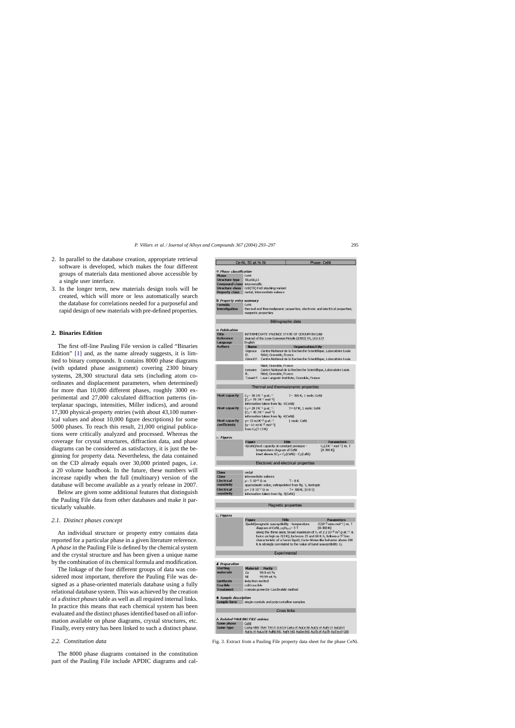- <span id="page-2-0"></span>2. In parallel to the database creation, appropriate retrieval software is developed, which makes the four different groups of materials data mentioned above accessible by a single user interface.
- 3. In the longer term, new materials design tools will be created, which will more or less automatically search the database for correlations needed for a purposeful and rapid design of new materials with pre-defined properties.

# **2. Binaries Edition**

The first off-line Pauling File version is called "Binaries Edition" [\[1\]](#page-4-0) and, as the name already suggests, it is limited to binary compounds. It contains 8000 phase diagrams (with updated phase assignment) covering 2300 binary systems, 28,300 structural data sets (including atom coordinates and displacement parameters, when determined) for more than 10,000 different phases, roughly 3000 experimental and 27,000 calculated diffraction patterns (interplanar spacings, intensities, Miller indices), and around 17,300 physical-property entries (with about 43,100 numerical values and about 10,000 figure descriptions) for some 5000 phases. To reach this result, 21,000 original publications were critically analyzed and processed. Whereas the coverage for crystal structures, diffraction data, and phase diagrams can be considered as satisfactory, it is just the beginning for property data. Nevertheless, the data contained on the CD already equals over 30,000 printed pages, i.e. a 20 volume handbook. In the future, these numbers will increase rapidly when the full (multinary) version of the database will become available as a yearly release in 2007.

Below are given some additional features that distinguish the Pauling File data from other databases and make it particularly valuable.

#### *2.1. Distinct phases concept*

An individual structure or property entry contains data reported for a particular phase in a given literature reference. A *phase* in the Pauling File is defined by the chemical system and the crystal structure and has been given a unique name by the combination of its chemical formula and modification.

The linkage of the four different groups of data was considered most important, therefore the Pauling File was designed as a phase-oriented materials database using a fully relational database system. This was achieved by the creation of a *distinct phases* table as well as all required internal links. In practice this means that each chemical system has been evaluated and the distinct phases identified based on all information available on phase diagrams, crystal structures, etc. Finally, every entry has been linked to such a distinct phase.

# *2.2. Constitution data*

The 8000 phase diagrams contained in the constitution part of the Pauling File include APDIC diagrams and cal-

|                                                     | Ce-Ni, 50 at.% Ni                                                                                                                            |                                                                                    | Phase: CeNi                                                                                                |  |
|-----------------------------------------------------|----------------------------------------------------------------------------------------------------------------------------------------------|------------------------------------------------------------------------------------|------------------------------------------------------------------------------------------------------------|--|
|                                                     |                                                                                                                                              |                                                                                    |                                                                                                            |  |
| <b>Phase classification</b><br>Phase                | CeNi                                                                                                                                         |                                                                                    |                                                                                                            |  |
| Structure type                                      |                                                                                                                                              | TIL, 0S8, 63                                                                       |                                                                                                            |  |
| Compound class intermetallic                        |                                                                                                                                              |                                                                                    |                                                                                                            |  |
|                                                     | Structure class CrB(TII)-FeB stacking variant                                                                                                |                                                                                    |                                                                                                            |  |
| Property class                                      | metal; intermediate valence                                                                                                                  |                                                                                    |                                                                                                            |  |
| Property entry summary                              |                                                                                                                                              |                                                                                    |                                                                                                            |  |
| Formula                                             | CeNI                                                                                                                                         |                                                                                    |                                                                                                            |  |
| <b>Investigation</b>                                | thermal and thermodynamic properties; electronic and electrical properties;                                                                  |                                                                                    |                                                                                                            |  |
|                                                     | magnetic properties                                                                                                                          |                                                                                    |                                                                                                            |  |
| Bibliographic data                                  |                                                                                                                                              |                                                                                    |                                                                                                            |  |
|                                                     |                                                                                                                                              |                                                                                    |                                                                                                            |  |
| <b>簡 Publication</b>                                |                                                                                                                                              |                                                                                    |                                                                                                            |  |
| <b>Title</b>                                        | INTERMEDIATE VALENCE STATE OF CERIUM IN CeNi                                                                                                 |                                                                                    |                                                                                                            |  |
| <b>Reference</b><br>Language                        | Journal of the Less-Common Metals (1983) 94, 165-172<br>English                                                                              |                                                                                    |                                                                                                            |  |
| <b>Authors</b>                                      | <b>Name</b>                                                                                                                                  | Organization/City                                                                  |                                                                                                            |  |
|                                                     | Gignoux                                                                                                                                      | Centre National de la Recherche Scientifique, Laboratoire Louis                    |                                                                                                            |  |
|                                                     | D.<br>Néel; Grenoble, France                                                                                                                 |                                                                                    |                                                                                                            |  |
|                                                     | Givord F.                                                                                                                                    | Centre National de la Recherche Scientifique, Laboratoire Louis                    |                                                                                                            |  |
|                                                     | Néel; Grenoble, France                                                                                                                       |                                                                                    |                                                                                                            |  |
|                                                     | Lemaire                                                                                                                                      | Centre National de la Recherche Scientifique, Laboratoire Louis                    |                                                                                                            |  |
|                                                     | Néel; Grenoble, France<br>R.<br>Tasset F. Laue Langevin Institute; Grenoble, France                                                          |                                                                                    |                                                                                                            |  |
|                                                     |                                                                                                                                              |                                                                                    |                                                                                                            |  |
|                                                     | Thermal and thermodynamic properties                                                                                                         |                                                                                    |                                                                                                            |  |
|                                                     |                                                                                                                                              |                                                                                    |                                                                                                            |  |
| <b>Heat capacity</b>                                | $C_p = 30$ J K <sup>-1</sup> g-at. <sup>-1</sup><br>$[C_0 = 59 \text{ J K}^{-1} \text{ mol}^{-1}]$                                           | $T = 300 K$ ; 1 mole: CeNi                                                         |                                                                                                            |  |
|                                                     | information taken from fig. 4(CeNi)                                                                                                          |                                                                                    |                                                                                                            |  |
| <b>Heat capacity</b>                                | $C_p = 20$ J K <sup>-1</sup> g-at. <sup>-1</sup>                                                                                             | $T = 67 K$ ; 1 mole: CeNi                                                          |                                                                                                            |  |
|                                                     | $[C_p = 40 \text{ J K}^{-1} \text{ mol}^{-1}]$                                                                                               |                                                                                    |                                                                                                            |  |
|                                                     | information taken from fig. 4(CeNi)                                                                                                          |                                                                                    |                                                                                                            |  |
| <b>Heat capacity</b><br>coefficients                | $y = 33$ mJ K <sup>-2</sup> q-at. <sup>-1</sup><br>$[y=65 \text{ m}]\text{K}^{-2} \text{ mol}^{-1}]$                                         | 1 mole: CeNi                                                                       |                                                                                                            |  |
|                                                     | from $C_p(5-13 K)$                                                                                                                           |                                                                                    |                                                                                                            |  |
|                                                     |                                                                                                                                              |                                                                                    |                                                                                                            |  |
| $\angle$ Figures                                    | <b>Figure</b>                                                                                                                                |                                                                                    |                                                                                                            |  |
|                                                     |                                                                                                                                              |                                                                                    |                                                                                                            |  |
|                                                     |                                                                                                                                              | Title                                                                              | <b>Parameters</b>                                                                                          |  |
|                                                     | 4(CeNI) heat capacity at constant pressure -<br>temperature diagram of CeNi                                                                  |                                                                                    | $Cp[J K-1 mol-1]$ vs. T<br>$[0-300K]$                                                                      |  |
|                                                     | inset shows $\Delta C_p = C_p(CeNi) - C_p(LaNi)$                                                                                             |                                                                                    |                                                                                                            |  |
|                                                     |                                                                                                                                              |                                                                                    |                                                                                                            |  |
|                                                     | Electronic and electrical properties                                                                                                         |                                                                                    |                                                                                                            |  |
| <b>Class</b>                                        | metal                                                                                                                                        |                                                                                    |                                                                                                            |  |
| <b>Class</b>                                        | intermediate valence                                                                                                                         |                                                                                    |                                                                                                            |  |
| <b>Electrical</b>                                   | $p = 5 10^{-9} \Omega m$                                                                                                                     | $T = 0K$                                                                           |                                                                                                            |  |
| resistivity                                         | approximate value, extrapolated from fig. 5, isotropic                                                                                       |                                                                                    |                                                                                                            |  |
| <b>Electrical</b>                                   | $p = 7.810^{-7} \Omega m$                                                                                                                    | $T = 300 K; [0 0 1]$                                                               |                                                                                                            |  |
| resistivity                                         | information taken from fig. 5(CeNi)                                                                                                          |                                                                                    |                                                                                                            |  |
|                                                     |                                                                                                                                              |                                                                                    |                                                                                                            |  |
|                                                     | Magnetic properties                                                                                                                          |                                                                                    |                                                                                                            |  |
| $\angle$ Figures                                    |                                                                                                                                              |                                                                                    |                                                                                                            |  |
|                                                     | <b>Figure</b>                                                                                                                                | <b>Title</b>                                                                       | <b>Parameters</b>                                                                                          |  |
|                                                     | 3(solid) magnetic susceptibility - temperature                                                                                               |                                                                                    | $X[10^{-3}$ emu mol <sup>-1</sup> ] vs. T                                                                  |  |
|                                                     | diagram of CeNi, µoHext= 5 T                                                                                                                 |                                                                                    | $[0-300K]$                                                                                                 |  |
|                                                     |                                                                                                                                              | twice as high as $X(4 K)$ ; between 25 and 60 K $X_c$ follows a T <sup>2</sup> law | along the three axes; broad maximum of $X_c$ of 2.2 10 <sup>-8</sup> m <sup>3</sup> g-at. <sup>-1</sup> is |  |
|                                                     |                                                                                                                                              |                                                                                    | characteristic of a Fermi liquid; Curie-Weiss-like behavior above 180                                      |  |
|                                                     |                                                                                                                                              | K is strongly correlated to the value of band susceptibility $X_0$                 |                                                                                                            |  |
|                                                     |                                                                                                                                              | Experimental                                                                       |                                                                                                            |  |
|                                                     |                                                                                                                                              |                                                                                    |                                                                                                            |  |
| <b>A</b> Preparation                                |                                                                                                                                              |                                                                                    |                                                                                                            |  |
| <b>Starting</b>                                     | <b>Material</b><br>Purity                                                                                                                    |                                                                                    |                                                                                                            |  |
| materials                                           | 99.9 wt.%<br>Ce                                                                                                                              |                                                                                    |                                                                                                            |  |
|                                                     | Ni<br>99.99 wt.%                                                                                                                             |                                                                                    |                                                                                                            |  |
| <b>Synthesis</b><br><b>Crucible</b>                 | induction-melted<br>cold crucible                                                                                                            |                                                                                    |                                                                                                            |  |
| <b>Treatment</b>                                    | crystals grown by Czochralski method                                                                                                         |                                                                                    |                                                                                                            |  |
|                                                     |                                                                                                                                              |                                                                                    |                                                                                                            |  |
| Sample description                                  |                                                                                                                                              |                                                                                    |                                                                                                            |  |
| Sample form                                         | single crystals and polycrystalline samples                                                                                                  |                                                                                    |                                                                                                            |  |
|                                                     |                                                                                                                                              | Cross links                                                                        |                                                                                                            |  |
|                                                     |                                                                                                                                              |                                                                                    |                                                                                                            |  |
| <b>A Related PAULING FILE entries</b><br>Same phase | CeNi                                                                                                                                         |                                                                                    |                                                                                                            |  |
| Same type                                           | CaAg HfAI ThAI YAI rt ZrAI rt CaAu rt AuCe ht AuDy rt AuEr rt AuGd rt<br>AuHo rt AuLa ht AuNd ht1 AuPr ht1 AuSm ht1 AuTb rt AuTh AuTm rt CrB |                                                                                    |                                                                                                            |  |

Fig. 3. Extract from a Pauling File property data sheet for the phase CeNi.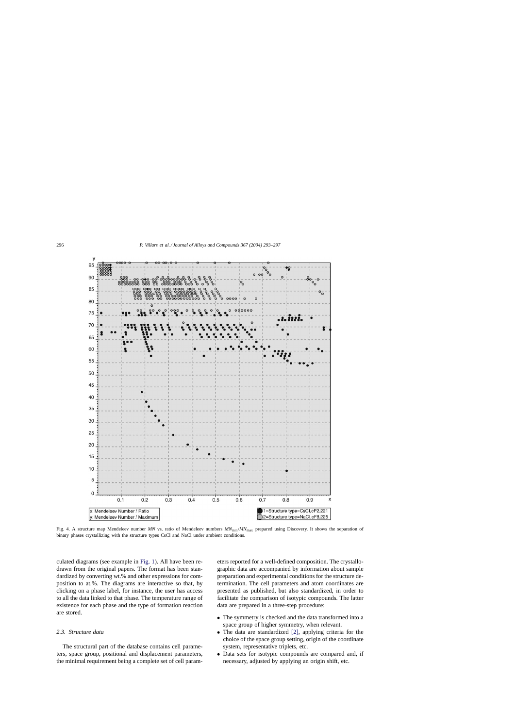<span id="page-3-0"></span>

Fig. 4. A structure map Mendeleev number *MN* vs. ratio of Mendeleev numbers *MN*min/*MN*max prepared using Discovery. It shows the separation of binary phases crystallizing with the structure types CsCl and NaCl under ambient conditions.

culated diagrams (see example in [Fig. 1\).](#page-1-0) All have been redrawn from the original papers. The format has been standardized by converting wt.% and other expressions for composition to at.%. The diagrams are interactive so that, by clicking on a phase label, for instance, the user has access to all the data linked to that phase. The temperature range of existence for each phase and the type of formation reaction are stored.

# *2.3. Structure data*

The structural part of the database contains cell parameters, space group, positional and displacement parameters, the minimal requirement being a complete set of cell parameters reported for a well-defined composition. The crystallographic data are accompanied by information about sample preparation and experimental conditions for the structure determination. The cell parameters and atom coordinates are presented as published, but also standardized, in order to facilitate the comparison of isotypic compounds. The latter data are prepared in a three-step procedure:

- The symmetry is checked and the data transformed into a space group of higher symmetry, when relevant.
- The data are standardized [\[2\],](#page-4-0) applying criteria for the choice of the space group setting, origin of the coordinate system, representative triplets, etc.
- Data sets for isotypic compounds are compared and, if necessary, adjusted by applying an origin shift, etc.